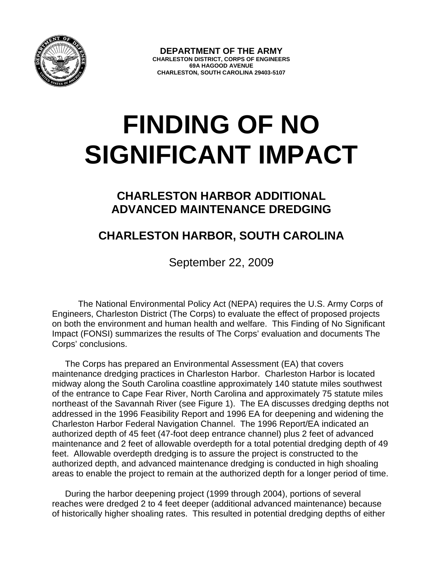

**DEPARTMENT OF THE ARMY CHARLESTON DISTRICT, CORPS OF ENGINEERS 69A HAGOOD AVENUE CHARLESTON, SOUTH CAROLINA 29403-5107** 

## **FINDING OF NO SIGNIFICANT IMPACT**

## **CHARLESTON HARBOR ADDITIONAL ADVANCED MAINTENANCE DREDGING**

## **CHARLESTON HARBOR, SOUTH CAROLINA**

September 22, 2009

The National Environmental Policy Act (NEPA) requires the U.S. Army Corps of Engineers, Charleston District (The Corps) to evaluate the effect of proposed projects on both the environment and human health and welfare. This Finding of No Significant Impact (FONSI) summarizes the results of The Corps' evaluation and documents The Corps' conclusions.

The Corps has prepared an Environmental Assessment (EA) that covers maintenance dredging practices in Charleston Harbor. Charleston Harbor is located midway along the South Carolina coastline approximately 140 statute miles southwest of the entrance to Cape Fear River, North Carolina and approximately 75 statute miles northeast of the Savannah River (see Figure 1). The EA discusses dredging depths not addressed in the 1996 Feasibility Report and 1996 EA for deepening and widening the Charleston Harbor Federal Navigation Channel. The 1996 Report/EA indicated an authorized depth of 45 feet (47-foot deep entrance channel) plus 2 feet of advanced maintenance and 2 feet of allowable overdepth for a total potential dredging depth of 49 feet. Allowable overdepth dredging is to assure the project is constructed to the authorized depth, and advanced maintenance dredging is conducted in high shoaling areas to enable the project to remain at the authorized depth for a longer period of time.

During the harbor deepening project (1999 through 2004), portions of several reaches were dredged 2 to 4 feet deeper (additional advanced maintenance) because of historically higher shoaling rates. This resulted in potential dredging depths of either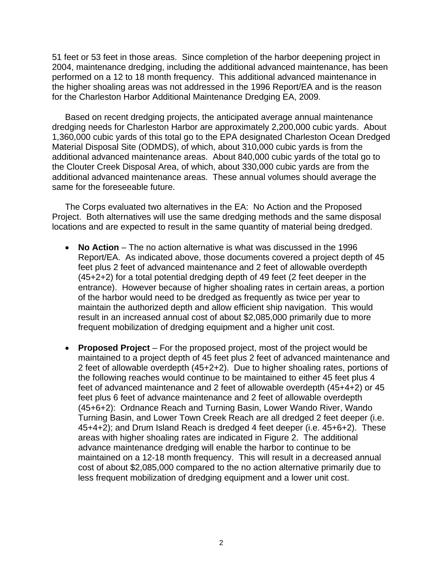51 feet or 53 feet in those areas. Since completion of the harbor deepening project in 2004, maintenance dredging, including the additional advanced maintenance, has been performed on a 12 to 18 month frequency. This additional advanced maintenance in the higher shoaling areas was not addressed in the 1996 Report/EA and is the reason for the Charleston Harbor Additional Maintenance Dredging EA, 2009.

Based on recent dredging projects, the anticipated average annual maintenance dredging needs for Charleston Harbor are approximately 2,200,000 cubic yards. About 1,360,000 cubic yards of this total go to the EPA designated Charleston Ocean Dredged Material Disposal Site (ODMDS), of which, about 310,000 cubic yards is from the additional advanced maintenance areas. About 840,000 cubic yards of the total go to the Clouter Creek Disposal Area, of which, about 330,000 cubic yards are from the additional advanced maintenance areas. These annual volumes should average the same for the foreseeable future.

The Corps evaluated two alternatives in the EA: No Action and the Proposed Project. Both alternatives will use the same dredging methods and the same disposal locations and are expected to result in the same quantity of material being dredged.

- **No Action** The no action alternative is what was discussed in the 1996 Report/EA. As indicated above, those documents covered a project depth of 45 feet plus 2 feet of advanced maintenance and 2 feet of allowable overdepth (45+2+2) for a total potential dredging depth of 49 feet (2 feet deeper in the entrance). However because of higher shoaling rates in certain areas, a portion of the harbor would need to be dredged as frequently as twice per year to maintain the authorized depth and allow efficient ship navigation. This would result in an increased annual cost of about \$2,085,000 primarily due to more frequent mobilization of dredging equipment and a higher unit cost.
- **Proposed Project** For the proposed project, most of the project would be maintained to a project depth of 45 feet plus 2 feet of advanced maintenance and 2 feet of allowable overdepth (45+2+2). Due to higher shoaling rates, portions of the following reaches would continue to be maintained to either 45 feet plus 4 feet of advanced maintenance and 2 feet of allowable overdepth (45+4+2) or 45 feet plus 6 feet of advance maintenance and 2 feet of allowable overdepth (45+6+2): Ordnance Reach and Turning Basin, Lower Wando River, Wando Turning Basin, and Lower Town Creek Reach are all dredged 2 feet deeper (i.e. 45+4+2); and Drum Island Reach is dredged 4 feet deeper (i.e. 45+6+2). These areas with higher shoaling rates are indicated in Figure 2. The additional advance maintenance dredging will enable the harbor to continue to be maintained on a 12-18 month frequency. This will result in a decreased annual cost of about \$2,085,000 compared to the no action alternative primarily due to less frequent mobilization of dredging equipment and a lower unit cost.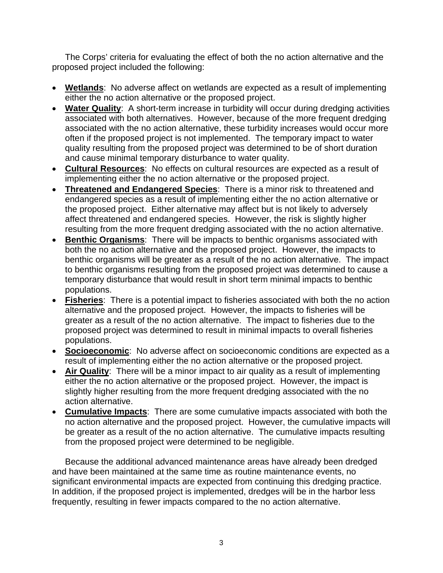The Corps' criteria for evaluating the effect of both the no action alternative and the proposed project included the following:

- **Wetlands**: No adverse affect on wetlands are expected as a result of implementing either the no action alternative or the proposed project.
- **Water Quality**: A short-term increase in turbidity will occur during dredging activities associated with both alternatives. However, because of the more frequent dredging associated with the no action alternative, these turbidity increases would occur more often if the proposed project is not implemented. The temporary impact to water quality resulting from the proposed project was determined to be of short duration and cause minimal temporary disturbance to water quality.
- **Cultural Resources**: No effects on cultural resources are expected as a result of implementing either the no action alternative or the proposed project.
- **Threatened and Endangered Species**: There is a minor risk to threatened and endangered species as a result of implementing either the no action alternative or the proposed project. Either alternative may affect but is not likely to adversely affect threatened and endangered species. However, the risk is slightly higher resulting from the more frequent dredging associated with the no action alternative.
- **Benthic Organisms**: There will be impacts to benthic organisms associated with both the no action alternative and the proposed project. However, the impacts to benthic organisms will be greater as a result of the no action alternative. The impact to benthic organisms resulting from the proposed project was determined to cause a temporary disturbance that would result in short term minimal impacts to benthic populations.
- **Fisheries**: There is a potential impact to fisheries associated with both the no action alternative and the proposed project. However, the impacts to fisheries will be greater as a result of the no action alternative. The impact to fisheries due to the proposed project was determined to result in minimal impacts to overall fisheries populations.
- **Socioeconomic**: No adverse affect on socioeconomic conditions are expected as a result of implementing either the no action alternative or the proposed project.
- **Air Quality**: There will be a minor impact to air quality as a result of implementing either the no action alternative or the proposed project. However, the impact is slightly higher resulting from the more frequent dredging associated with the no action alternative.
- **Cumulative Impacts**: There are some cumulative impacts associated with both the no action alternative and the proposed project. However, the cumulative impacts will be greater as a result of the no action alternative. The cumulative impacts resulting from the proposed project were determined to be negligible.

Because the additional advanced maintenance areas have already been dredged and have been maintained at the same time as routine maintenance events, no significant environmental impacts are expected from continuing this dredging practice. In addition, if the proposed project is implemented, dredges will be in the harbor less frequently, resulting in fewer impacts compared to the no action alternative.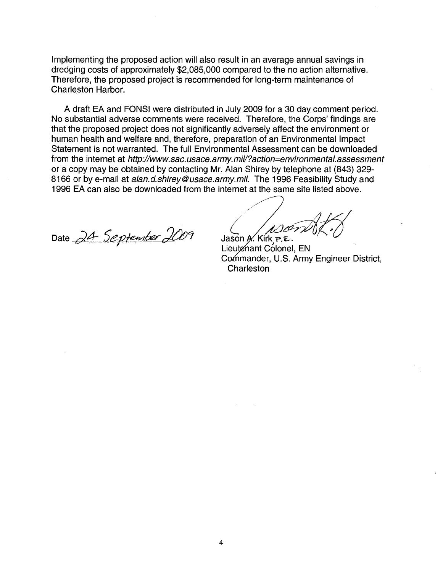Implementing the proposed action will also result in an average annual savings in dredging costs of approximately \$2,085,000 compared to the no action alternative. Therefore, the proposed project is recommended for long-term maintenance of Charleston Harbor.

A draft EA and FONSI were distributed in July 2009 for a 30 day comment period. No substantial adverse comments were received. Therefore, the Corps' findings are that the proposed project does not Significantly adversely affect the environment or human health and welfare and, therefore, preparation of an Environmental Impact Statement is not warranted. The full Environmental Assessment can be downloaded from the internet at http://www.sac.usace.army.mil/?action=environmenta/.assessment or a copy may be obtained by contacting Mr. Alan Shirey by telephone at (843) 329- 8166 or by e-mail at alan.d.shirey@usace.army.mil. The 1996 Feasibility Study and 1996 EA can also be downloaded from the internet at the same site listed above.

Date 24 September 2009

/// Jason A. Kirk  $P.E.$ 

Lieutenant Colonel, EN Commander, U.S. Army Engineer District, **Charleston**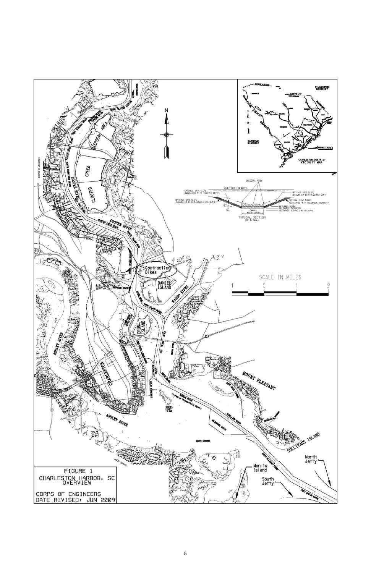